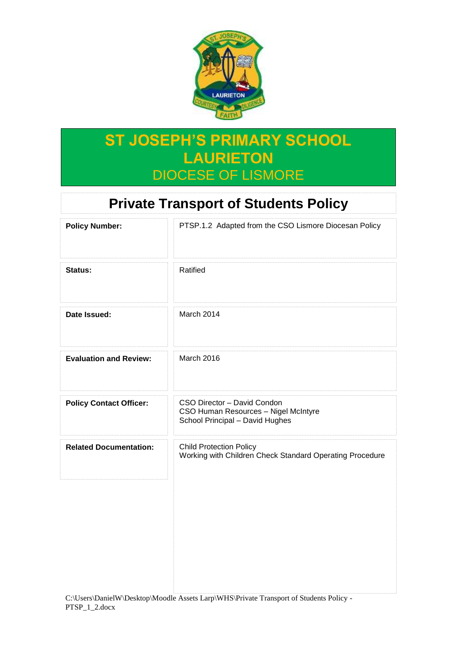

# **ST JOSEPH'S PRIMARY SCHOOL LAURIETON** DIOCESE OF LISMORE

## **Private Transport of Students Policy**

| PTSP.1.2 Adapted from the CSO Lismore Diocesan Policy                                                  |
|--------------------------------------------------------------------------------------------------------|
| Ratified                                                                                               |
| March 2014                                                                                             |
| March 2016                                                                                             |
| CSO Director - David Condon<br>CSO Human Resources - Nigel McIntyre<br>School Principal - David Hughes |
| <b>Child Protection Policy</b><br>Working with Children Check Standard Operating Procedure             |
|                                                                                                        |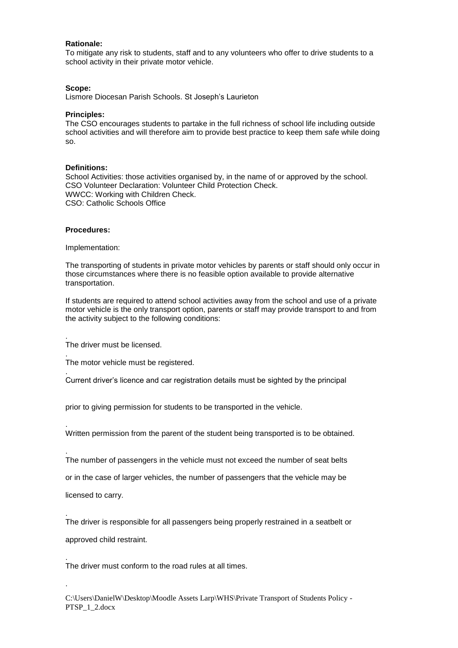## **Rationale:**

To mitigate any risk to students, staff and to any volunteers who offer to drive students to a school activity in their private motor vehicle.

#### **Scope:**

Lismore Diocesan Parish Schools. St Joseph's Laurieton

### **Principles:**

The CSO encourages students to partake in the full richness of school life including outside school activities and will therefore aim to provide best practice to keep them safe while doing so.

## **Definitions:**

School Activities: those activities organised by, in the name of or approved by the school. CSO Volunteer Declaration: Volunteer Child Protection Check. WWCC: Working with Children Check. CSO: Catholic Schools Office

#### **Procedures:**

.

.

.

.

.

.

.

.

Implementation:

The transporting of students in private motor vehicles by parents or staff should only occur in those circumstances where there is no feasible option available to provide alternative transportation.

If students are required to attend school activities away from the school and use of a private motor vehicle is the only transport option, parents or staff may provide transport to and from the activity subject to the following conditions:

The driver must be licensed.

The motor vehicle must be registered.

Current driver's licence and car registration details must be sighted by the principal

prior to giving permission for students to be transported in the vehicle.

Written permission from the parent of the student being transported is to be obtained.

The number of passengers in the vehicle must not exceed the number of seat belts

or in the case of larger vehicles, the number of passengers that the vehicle may be

licensed to carry.

The driver is responsible for all passengers being properly restrained in a seatbelt or

approved child restraint.

The driver must conform to the road rules at all times.

C:\Users\DanielW\Desktop\Moodle Assets Larp\WHS\Private Transport of Students Policy - PTSP\_1\_2.docx